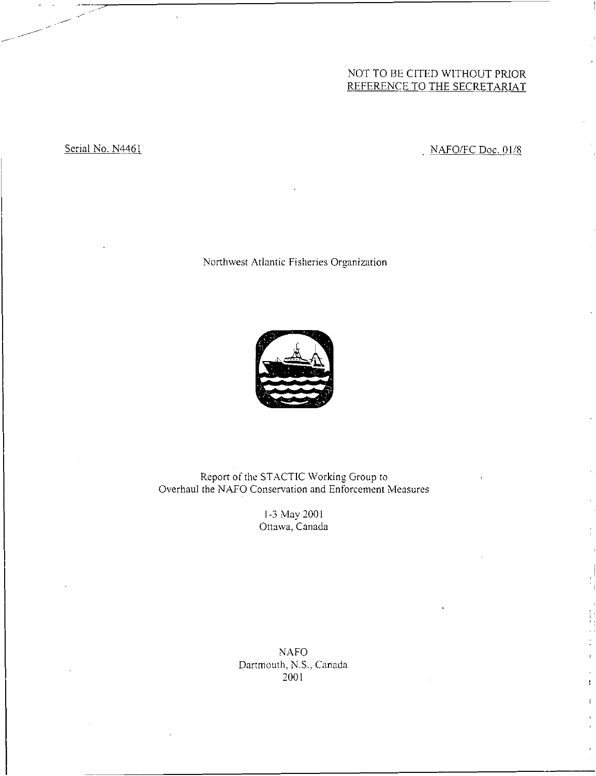# NOT TO BE CITED WITHOUT PRIOR REFERENCE TO THE SECRETARIAT

Serial No. N4461 No. N4461

Northwest Atlantic Fisheries Organization



Report of the STACTIC Working Group to Overhaul the NAFO Conservation and Enforcement Measures

> 1-3 May 2001 Ottawa, Canada

NAFO Dartmouth, N.S., Canada 2001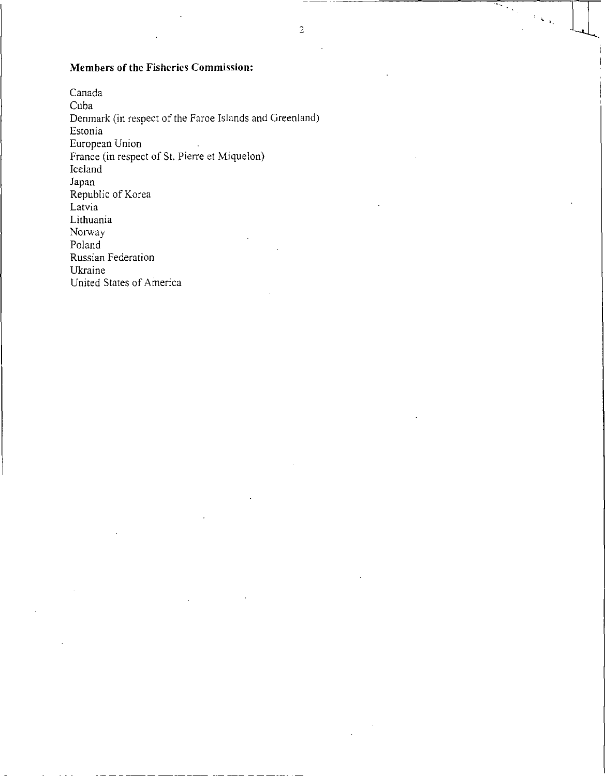# Members of the Fisheries Commission:

Canada Cuba Denmark (in respect of the Faroe Islands and Greenland) Estonia European Union France (in respect of St. Pierre et Miquelon) Iceland Japan Republic of Korea Latvia Lithuania Norway Poland Russian Federation Ukraine United States of America

स्टब्स्

 $\frac{1}{2} \left( \frac{1}{2} \right)_{A_1}$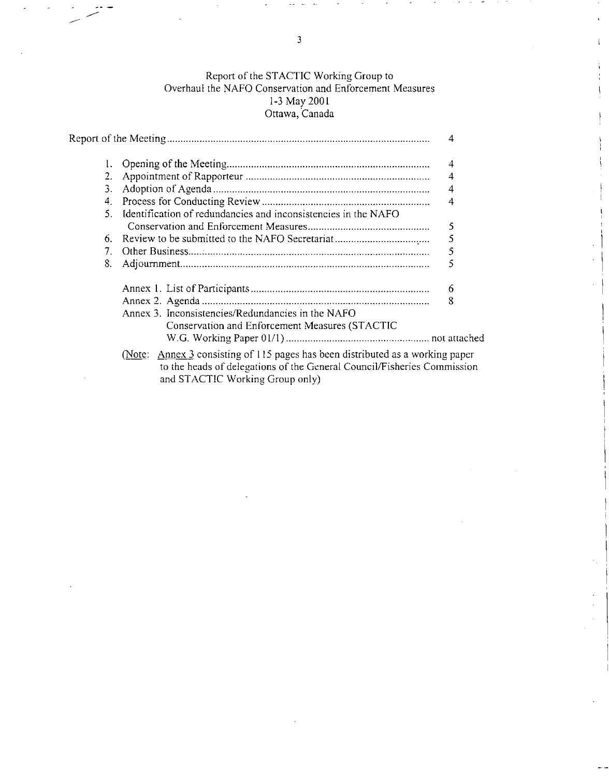# Report of the STACTIC Working Group to Overhaul the NAFO Conservation and Enforcement Measures 1-3 May 2001 Ottawa, Canada

|       |                                                                                                                                                           | 4 |
|-------|-----------------------------------------------------------------------------------------------------------------------------------------------------------|---|
| 2.    |                                                                                                                                                           | 4 |
| 3.    |                                                                                                                                                           | 4 |
| 4.    |                                                                                                                                                           | 4 |
| $5 -$ | Identification of redundancies and inconsistencies in the NAFO                                                                                            |   |
|       |                                                                                                                                                           | 5 |
| 6.    |                                                                                                                                                           | 5 |
| 7.    |                                                                                                                                                           | 5 |
| 8.    |                                                                                                                                                           | 5 |
|       |                                                                                                                                                           | 6 |
|       |                                                                                                                                                           | 8 |
|       | Annex 3. Inconsistencies/Redundancies in the NAFO<br>Conservation and Enforcement Measures (STACTIC                                                       |   |
|       |                                                                                                                                                           |   |
|       | (Note: Annex 3 consisting of 115 pages has been distributed as a working paper<br>to the heads of delegations of the General Council/Fisheries Commission |   |

and STACTIC Working Group only)

3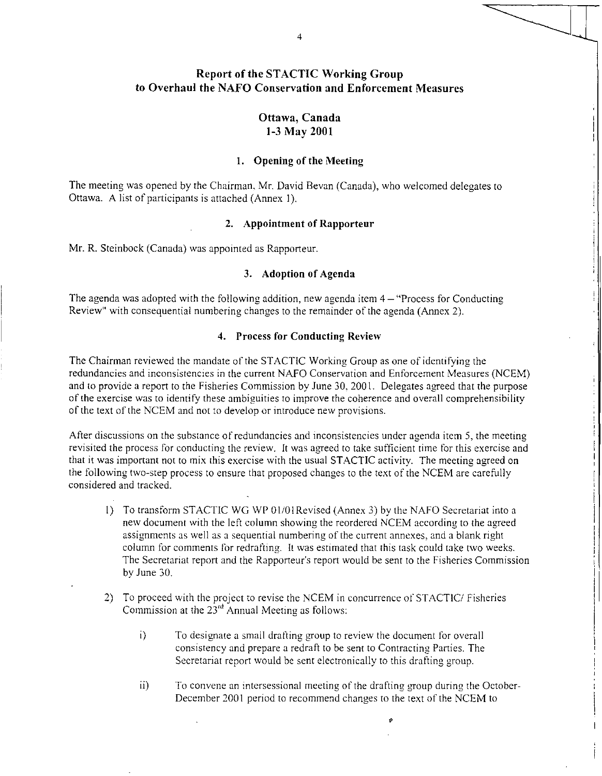# Report of the STACTIC Working Group to Overhaul the NAFO Conservation and Enforcement Measures

# Ottawa, Canada 1-3 May 2001

## **1. Opening of the Meeting**

**The** meeting was opened by the Chairman, Mr. David Bevan (Canada), who welcomed delegates to Ottawa. A list of participants is attached (Annex 1).

## **2. Appointment of Rapporteur**

Mr. R. Steinbock (Canada) was appointed as Rapporteur.

## **3. Adoption of Agenda**

The agenda was adopted with the following addition, new agenda item  $4-$  "Process for Conducting Review" with consequential numbering changes to the remainder of the agenda (Annex 2).

# **4. Process for Conducting Review**

The Chairman reviewed the mandate of the STACTIC Working Group as one of identifying the redundancies and inconsistencies in the current NAFO Conservation and Enforcement Measures (NCEM) and to provide a report to the Fisheries Commission by June 30, 2001. Delegates agreed that the purpose of the exercise was to identify these ambiguities to improve the coherence and overall comprehensibility of the text of the NCEM and not to develop or introduce new provisions.

After discussions on the substance of redundancies and inconsistencies under agenda item 5, the meeting revisited the process for conducting the review. It was agreed to take sufficient time for this exercise and that it was important not to mix this exercise with the usual STACTIC activity. The meeting agreed on the following two-step process to ensure that proposed changes to the text of the NCEM are carefully considered and tracked.

- 1) To transform STACTIC WG WP 01/01 Revised (Annex 3) by the NAFO Secretariat into a new document with the left column showing the reordered NCEM according to the agreed assignments as well as a sequential numbering of the current annexes, and a blank right column for comments for redrafting. It was estimated that this task could take two weeks. The Secretariat report and the Rapporteur's report would be sent to the Fisheries Commission by June 30.
- 2) To proceed with the project to revise the NCEM in concurrence of STACTIC/ Fisheries Commission at the  $23^{rd}$  Annual Meeting as follows:
	- i) To designate a small drafting group to review the document for overall consistency and prepare a redraft to be sent to Contracting Parties. The Secretariat report would be sent electronically to this drafting group.
	- $\overline{11}$ To convene an intersessional meeting of the drafting group during the October-December 2001 period to recommend changes to the text of the NCEM to

 $\pmb{\rho}$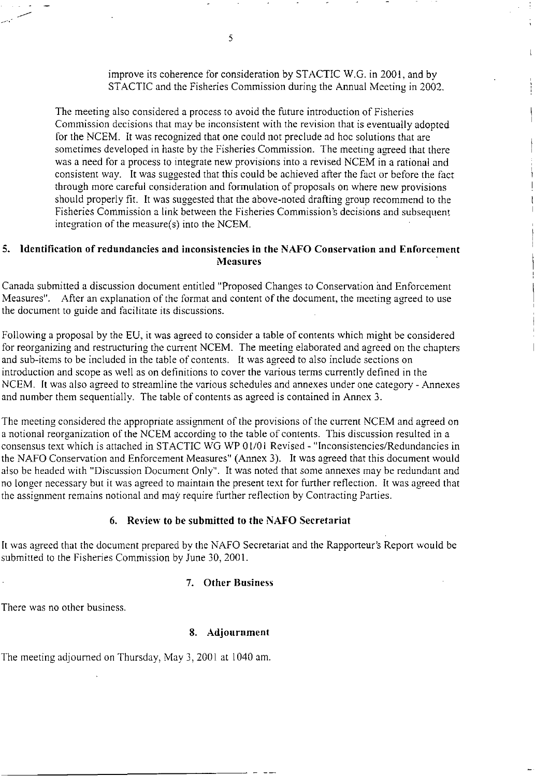improve its coherence for consideration by STACTIC W.G. in 2001, and by STACTIC and the Fisheries Commission during the Annual Meeting in 2002.

The meeting also considered a process to avoid the future introduction of Fisheries Commission decisions that may be inconsistent with the revision that is eventually adopted for the NCEM. It was recognized that one could not preclude ad hoc solutions that are sometimes developed in haste by the Fisheries Commission. The meeting agreed that there was a need for a process to integrate new provisions into a revised NCEM in a rational and consistent way. It was suggested that this could be achieved after the fact or before the fact through more careful consideration and formulation of proposals on where new provisions should properly fit. It was suggested that the above-noted drafting group recommend to the Fisheries Commission a link between the Fisheries Commission's decisions and subsequent integration of the measure(s) into the NCEM.

## **5. Identification of redundancies and inconsistencies in the NAFO Conservation and Enforcement Measures**

5

Canada submitted a discussion document entitled "Proposed Changes to Conservation and Enforcement Measures". After an explanation of the format and content of the document, the meeting agreed to use the document to guide and facilitate its discussions.

Following a proposal by the EU, it was agreed to consider a table of contents which might be considered for reorganizing and restructuring the current NCEM. The meeting elaborated and agreed on the chapters and sub-items to be included in the table of contents. It was agreed to also include sections on introduction and scope as well as on definitions to cover the various terms currently defined in the NCEM. It was also agreed to streamline the various schedules and annexes under one category - Annexes and number them sequentially. The table of contents as agreed is contained in Annex 3.

The meeting considered the appropriate assignment of the provisions of the current NCEM and agreed on a notional reorganization of the NCEM according to the table of contents. This discussion resulted in a consensus text which is attached in STACTIC WG WP 01/01 Revised - "Inconsistencies/Redundancies in the NAFO Conservation and Enforcement Measures" (Annex 3). It was agreed that this document would also be headed with "Discussion Document Only". It was noted that some annexes may be redundant and no longer necessary but it was agreed to maintain the present text for further reflection. It was agreed that the assignment remains notional and may require further reflection by Contracting Parties.

## **6. Review to be submitted to the NAFO Secretariat**

It was agreed that the document prepared by the NAFO Secretariat and the Rapporteur's Report would be submitted to the Fisheries Commission by June 30, 2001.

## **7. Other Business**

There was no other business.

# **8. Adjournment**

The meeting adjourned on Thursday, May 3, 2001 at 1040 am.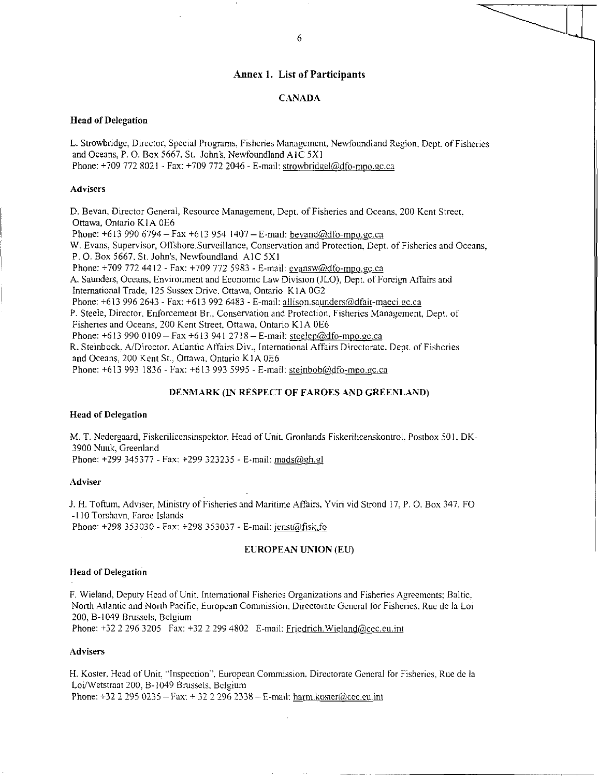## Annex 1. List of Participants

### CANADA

## Head of Delegation

L. Strowbridge, Director, Special Programs, Fisheries Management, Newfoundland Region, Dept. of Fisheries and Oceans, P. 0. Box 5667. St. John's. Newfoundland AIC 5X1 Phone: +709 772 8021 - Fax: +709 772 2046 - E-mail: strowbridgel@dfo-mpo.gc.ca

#### **Advisers**

D. Bevan, Director General, Resource Management, Dept. of Fisheries and Oceans, 200 Kent Street, Ottawa, Ontario KIA 0E6 Phone:  $+6139906794 - Fax +6139541407 - E-mail: beyand@dfo-mpo.gc.ca$ W. Evans, Supervisor, Offshore. Surveillance, Conservation and Protection, Dept. of Fisheries and Oceans, P.O. Box 5667. St. John's. Newfoundland AIC 5X1 Phone: +709 772 4412 - Fax: +709 772 5983 - E-mail: evansw@dfo-mpo.gc.ca A. Saunders, Oceans, Environment and Economic Law Division (JLO), Dept. of Foreign Affairs and International Trade. 125 Sussex Drive. Ottawa. Ontario KIA 0G2 Phone:  $+613$  996 2643 - Fax:  $+613$  992 6483 - E-mail: allison.saunders@dfait-maeci.gc.ca P. Steele, Director, Enforcement Br., Conservation and Protection, Fisheries Management, Dept. of Fisheries and Oceans. 200 Kent Street. Ottawa. Ontario K1A 0E6 Phone:  $+6139900109 - Fax +6139412718 - E-mail: [steelep@dfo-mpo.gc.ca](mailto:steelep@dfo-mpo.gc.ca)$ R. Steinbock, A/Director, Atlantic Affairs Div., International Affairs Directorate. Dept. of Fisheries and Oceans. 200 Kent St.. Ottawa. Ontario KIA 0E6 Phone: +613 993 1836 - Fax: +613 993 5995 - E-mail: steinbob@dfo-mpo.gc.ca

#### DENMARK (IN RESPECT OF FAROES AND GREENLAND)

### Head of Delegation

M. T. Nedergaard, Fiskerilicensinspektor. Head of Unit, Gronlands Fiskerilicenskontrol, Postbox 501, DK-3900 Nuuk, Greenland

Phone: +299 345377 - Fax: +299 323235 - E-mail: mads@gh.gl

#### Adviser

J. H. Toftum, Adviser. Ministry of Fisheries and Maritime Affairs. Yviri vid Strond 17, P. 0. Box 347, FO -110 Torshavn. Faroe Islands Phone: +298 353030 - Fax: +298 353037 - E-mail: jenst@fisk.fo

#### EUROPEAN UNION (EU)

#### Head of Delegation

F. Wieland, Deputy Head of Unit. International Fisheries Organizations and Fisheries Agreements; Baltic, North Atlantic and North Pacific, European Commission, Directorate General for Fisheries, Rue de la Loi 200, B-1049 Brussels, Belgium Phone: +32 2 296 3205 Fax: +32 2 299 4802 E-mail: Friedrich. Wieland@cec.eu.int

Advisers

H. Koster, Hcad of Unit. "Inspection'', European Commission, Directorate General for Fisheries. Rue de la Loi/Wetstraat 200, B-1049 Brussels, Belgium Phone:  $+32$  2 295 0235 – Fax:  $+32$  2 296 2338 – E-mail: harm.koster@cec.eu.int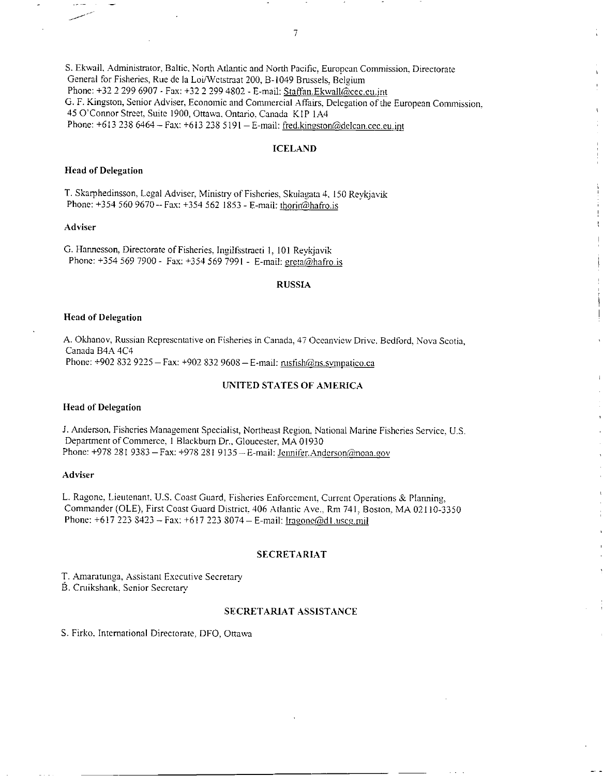S. Ekwall, Administrator, Baltic, North Atlantic and North Pacific, European Commission, Directorate General for Fisheries, Rue de la Loi/Wetstraat 200, B-1049 Brussels, Belgium Phone: +32 2 299 6907 - Fax: +32 2 299 4802 - E-mail: Staffan.Ekwall@cec.eu.int G. F. Kingston, Senior Adviser, Economic and Commercial Affairs, Delegation of the European Commission, 45 O'Connor Street, Suite 1900, Ottawa, Ontario, Canada KIP 1A4 Phone: +613 238 6464 - Fax: +613 238 5191 - E-mail: fred.kingston@delcan.cec.eu.int

## ICELAND

#### Head of Delegation

T. Skarphedinsson, Legal Adviser, Ministry of Fisheries, Skulagata 4, 150 Reykjavik Phone: +354 560 9670 -- Fax: +354 562 1853 - E-mail: thorir@hafro.is

## Adviser

G. Hannesson, Directorate of Fisheries, Ingilfsstracti 1, 101 Reykjavik Phone: +354 569 7900 - Fax: +354 569 7991 - E-mail: greta@hafro.is

#### RUSSIA

#### Head of Delegation

A. Okhanov, Russian Representative on Fisheries in Canada, 47 Oceanview Drive, Bedford, Nova Scotia, Canada B4A 4C4 Phone: +902 832 9225 - Fax: +902 832 9608 - E-mail: rusfish@ns.sympatico.ca

#### UNITED STATES OF AMERICA

#### Head of Delegation

J. Anderson, Fisheries Management Specialist, Northeast Region, National Marine Fisheries Service, U.S. Department of Commerce, 1 Blackburn Dr., Gloucester, MA 01930 Phone: +978 281 9383 - Fax: +978 281 9135 - E-mail: Jennifer.Anderson@noaa.gov

### Adviser

L. Ragone, Lieutenant. U.S. Coast Guard, FiSheries Enforcement, Current Operations & Planning, Commander (OLE), First Coast Guard District, 406 Atlantic Ave.. Rm 741, Boston, MA 02110-3350 Phone: +617 223 8423 - Fax: +617 223 8074 - E-mail: Iragone@d1.uscg.mil

#### SECRETARIAT

T. Amaratunga, Assistant Executive Secretary

B. Cruikshank, Senior Secretary

#### SECRETARIAT ASSISTANCE

S. Firko. International Directorate, DFO, Ottawa

 $\overline{7}$